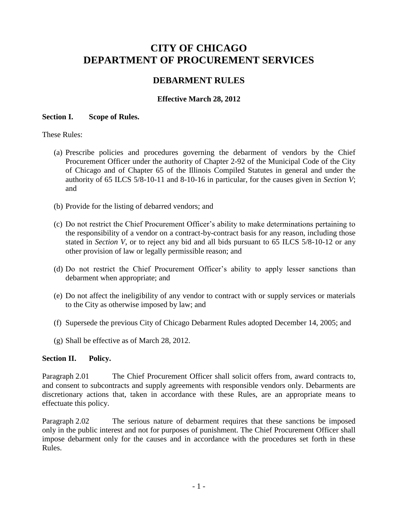# **CITY OF CHICAGO DEPARTMENT OF PROCUREMENT SERVICES**

# **DEBARMENT RULES**

# **Effective March 28, 2012**

#### **Section I. Scope of Rules.**

These Rules:

- (a) Prescribe policies and procedures governing the debarment of vendors by the Chief Procurement Officer under the authority of Chapter 2-92 of the Municipal Code of the City of Chicago and of Chapter 65 of the Illinois Compiled Statutes in general and under the authority of 65 ILCS 5/8-10-11 and 8-10-16 in particular, for the causes given in *Section V*; and
- (b) Provide for the listing of debarred vendors; and
- (c) Do not restrict the Chief Procurement Officer's ability to make determinations pertaining to the responsibility of a vendor on a contract-by-contract basis for any reason, including those stated in *Section V*, or to reject any bid and all bids pursuant to 65 ILCS 5/8-10-12 or any other provision of law or legally permissible reason; and
- (d) Do not restrict the Chief Procurement Officer's ability to apply lesser sanctions than debarment when appropriate; and
- (e) Do not affect the ineligibility of any vendor to contract with or supply services or materials to the City as otherwise imposed by law; and
- (f) Supersede the previous City of Chicago Debarment Rules adopted December 14, 2005; and
- (g) Shall be effective as of March 28, 2012.

# **Section II. Policy.**

Paragraph 2.01 The Chief Procurement Officer shall solicit offers from, award contracts to, and consent to subcontracts and supply agreements with responsible vendors only. Debarments are discretionary actions that, taken in accordance with these Rules, are an appropriate means to effectuate this policy.

Paragraph 2.02 The serious nature of debarment requires that these sanctions be imposed only in the public interest and not for purposes of punishment. The Chief Procurement Officer shall impose debarment only for the causes and in accordance with the procedures set forth in these Rules.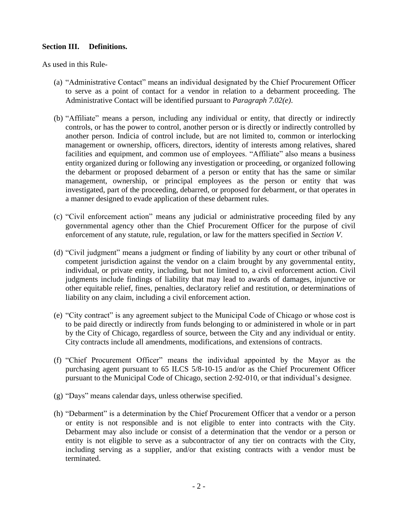#### **Section III. Definitions.**

As used in this Rule-

- (a) "Administrative Contact" means an individual designated by the Chief Procurement Officer to serve as a point of contact for a vendor in relation to a debarment proceeding. The Administrative Contact will be identified pursuant to *Paragraph 7.02(e)*.
- (b) "Affiliate" means a person, including any individual or entity, that directly or indirectly controls, or has the power to control, another person or is directly or indirectly controlled by another person. Indicia of control include, but are not limited to, common or interlocking management or ownership, officers, directors, identity of interests among relatives, shared facilities and equipment, and common use of employees. "Affiliate" also means a business entity organized during or following any investigation or proceeding, or organized following the debarment or proposed debarment of a person or entity that has the same or similar management, ownership, or principal employees as the person or entity that was investigated, part of the proceeding, debarred, or proposed for debarment, or that operates in a manner designed to evade application of these debarment rules.
- (c) "Civil enforcement action" means any judicial or administrative proceeding filed by any governmental agency other than the Chief Procurement Officer for the purpose of civil enforcement of any statute, rule, regulation, or law for the matters specified in *Section V*.
- (d) "Civil judgment" means a judgment or finding of liability by any court or other tribunal of competent jurisdiction against the vendor on a claim brought by any governmental entity, individual, or private entity, including, but not limited to, a civil enforcement action. Civil judgments include findings of liability that may lead to awards of damages, injunctive or other equitable relief, fines, penalties, declaratory relief and restitution, or determinations of liability on any claim, including a civil enforcement action.
- (e) "City contract" is any agreement subject to the Municipal Code of Chicago or whose cost is to be paid directly or indirectly from funds belonging to or administered in whole or in part by the City of Chicago, regardless of source, between the City and any individual or entity. City contracts include all amendments, modifications, and extensions of contracts.
- (f) "Chief Procurement Officer" means the individual appointed by the Mayor as the purchasing agent pursuant to 65 ILCS 5/8-10-15 and/or as the Chief Procurement Officer pursuant to the Municipal Code of Chicago, section 2-92-010, or that individual's designee.
- (g) "Days" means calendar days, unless otherwise specified.
- (h) "Debarment" is a determination by the Chief Procurement Officer that a vendor or a person or entity is not responsible and is not eligible to enter into contracts with the City. Debarment may also include or consist of a determination that the vendor or a person or entity is not eligible to serve as a subcontractor of any tier on contracts with the City, including serving as a supplier, and/or that existing contracts with a vendor must be terminated.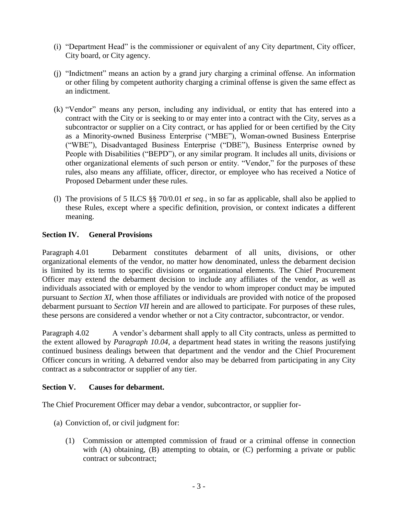- (i) "Department Head" is the commissioner or equivalent of any City department, City officer, City board, or City agency.
- (j) "Indictment" means an action by a grand jury charging a criminal offense. An information or other filing by competent authority charging a criminal offense is given the same effect as an indictment.
- (k) "Vendor" means any person, including any individual, or entity that has entered into a contract with the City or is seeking to or may enter into a contract with the City, serves as a subcontractor or supplier on a City contract, or has applied for or been certified by the City as a Minority-owned Business Enterprise ("MBE"), Woman-owned Business Enterprise ("WBE"), Disadvantaged Business Enterprise ("DBE"), Business Enterprise owned by People with Disabilities ("BEPD"), or any similar program. It includes all units, divisions or other organizational elements of such person or entity. "Vendor," for the purposes of these rules, also means any affiliate, officer, director, or employee who has received a Notice of Proposed Debarment under these rules.
- (l) The provisions of 5 ILCS §§ 70/0.01 *et seq.*, in so far as applicable, shall also be applied to these Rules, except where a specific definition, provision, or context indicates a different meaning.

# **Section IV. General Provisions**

Paragraph 4.01 Debarment constitutes debarment of all units, divisions, or other organizational elements of the vendor, no matter how denominated, unless the debarment decision is limited by its terms to specific divisions or organizational elements. The Chief Procurement Officer may extend the debarment decision to include any affiliates of the vendor, as well as individuals associated with or employed by the vendor to whom improper conduct may be imputed pursuant to *Section XI*, when those affiliates or individuals are provided with notice of the proposed debarment pursuant to *Section VII* herein and are allowed to participate. For purposes of these rules, these persons are considered a vendor whether or not a City contractor, subcontractor, or vendor.

Paragraph 4.02 A vendor's debarment shall apply to all City contracts, unless as permitted to the extent allowed by *Paragraph 10.04*, a department head states in writing the reasons justifying continued business dealings between that department and the vendor and the Chief Procurement Officer concurs in writing. A debarred vendor also may be debarred from participating in any City contract as a subcontractor or supplier of any tier.

# **Section V. Causes for debarment.**

The Chief Procurement Officer may debar a vendor, subcontractor, or supplier for-

- (a) Conviction of, or civil judgment for:
	- (1) Commission or attempted commission of fraud or a criminal offense in connection with (A) obtaining, (B) attempting to obtain, or (C) performing a private or public contract or subcontract;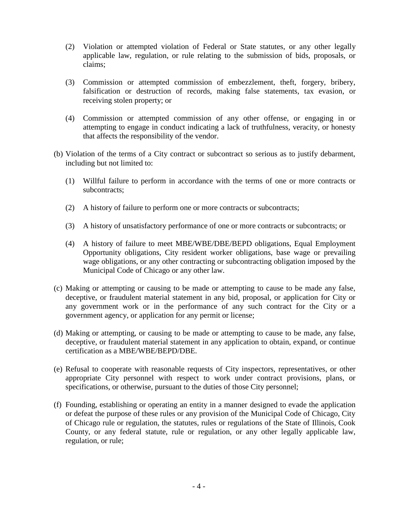- (2) Violation or attempted violation of Federal or State statutes, or any other legally applicable law, regulation, or rule relating to the submission of bids, proposals, or claims;
- (3) Commission or attempted commission of embezzlement, theft, forgery, bribery, falsification or destruction of records, making false statements, tax evasion, or receiving stolen property; or
- (4) Commission or attempted commission of any other offense, or engaging in or attempting to engage in conduct indicating a lack of truthfulness, veracity, or honesty that affects the responsibility of the vendor.
- (b) Violation of the terms of a City contract or subcontract so serious as to justify debarment, including but not limited to:
	- (1) Willful failure to perform in accordance with the terms of one or more contracts or subcontracts;
	- (2) A history of failure to perform one or more contracts or subcontracts;
	- (3) A history of unsatisfactory performance of one or more contracts or subcontracts; or
	- (4) A history of failure to meet MBE/WBE/DBE/BEPD obligations, Equal Employment Opportunity obligations, City resident worker obligations, base wage or prevailing wage obligations, or any other contracting or subcontracting obligation imposed by the Municipal Code of Chicago or any other law.
- (c) Making or attempting or causing to be made or attempting to cause to be made any false, deceptive, or fraudulent material statement in any bid, proposal, or application for City or any government work or in the performance of any such contract for the City or a government agency, or application for any permit or license;
- (d) Making or attempting, or causing to be made or attempting to cause to be made, any false, deceptive, or fraudulent material statement in any application to obtain, expand, or continue certification as a MBE/WBE/BEPD/DBE.
- (e) Refusal to cooperate with reasonable requests of City inspectors, representatives, or other appropriate City personnel with respect to work under contract provisions, plans, or specifications, or otherwise, pursuant to the duties of those City personnel;
- (f) Founding, establishing or operating an entity in a manner designed to evade the application or defeat the purpose of these rules or any provision of the Municipal Code of Chicago, City of Chicago rule or regulation, the statutes, rules or regulations of the State of Illinois, Cook County, or any federal statute, rule or regulation, or any other legally applicable law, regulation, or rule;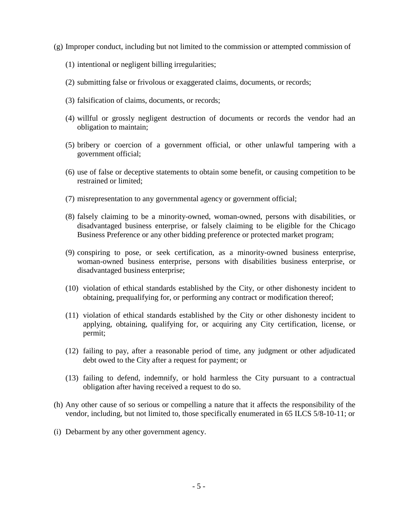- (g) Improper conduct, including but not limited to the commission or attempted commission of
	- (1) intentional or negligent billing irregularities;
	- (2) submitting false or frivolous or exaggerated claims, documents, or records;
	- (3) falsification of claims, documents, or records;
	- (4) willful or grossly negligent destruction of documents or records the vendor had an obligation to maintain;
	- (5) bribery or coercion of a government official, or other unlawful tampering with a government official;
	- (6) use of false or deceptive statements to obtain some benefit, or causing competition to be restrained or limited;
	- (7) misrepresentation to any governmental agency or government official;
	- (8) falsely claiming to be a minority-owned, woman-owned, persons with disabilities, or disadvantaged business enterprise, or falsely claiming to be eligible for the Chicago Business Preference or any other bidding preference or protected market program;
	- (9) conspiring to pose, or seek certification, as a minority-owned business enterprise, woman-owned business enterprise, persons with disabilities business enterprise, or disadvantaged business enterprise;
	- (10) violation of ethical standards established by the City, or other dishonesty incident to obtaining, prequalifying for, or performing any contract or modification thereof;
	- (11) violation of ethical standards established by the City or other dishonesty incident to applying, obtaining, qualifying for, or acquiring any City certification, license, or permit;
	- (12) failing to pay, after a reasonable period of time, any judgment or other adjudicated debt owed to the City after a request for payment; or
	- (13) failing to defend, indemnify, or hold harmless the City pursuant to a contractual obligation after having received a request to do so.
- (h) Any other cause of so serious or compelling a nature that it affects the responsibility of the vendor, including, but not limited to, those specifically enumerated in 65 ILCS 5/8-10-11; or
- (i) Debarment by any other government agency.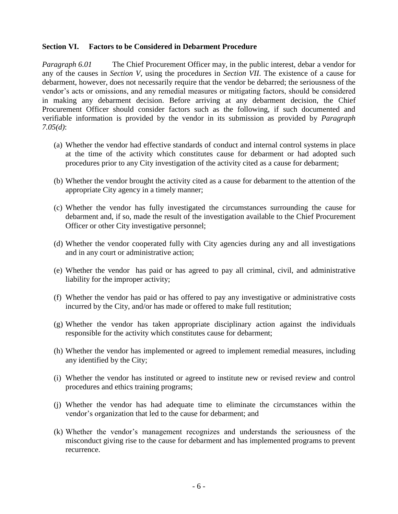#### **Section VI. Factors to be Considered in Debarment Procedure**

*Paragraph 6.01* The Chief Procurement Officer may, in the public interest, debar a vendor for any of the causes in *Section V*, using the procedures in *Section VII*. The existence of a cause for debarment, however, does not necessarily require that the vendor be debarred; the seriousness of the vendor's acts or omissions, and any remedial measures or mitigating factors, should be considered in making any debarment decision. Before arriving at any debarment decision, the Chief Procurement Officer should consider factors such as the following, if such documented and verifiable information is provided by the vendor in its submission as provided by *Paragraph 7.05(d)*:

- (a) Whether the vendor had effective standards of conduct and internal control systems in place at the time of the activity which constitutes cause for debarment or had adopted such procedures prior to any City investigation of the activity cited as a cause for debarment;
- (b) Whether the vendor brought the activity cited as a cause for debarment to the attention of the appropriate City agency in a timely manner;
- (c) Whether the vendor has fully investigated the circumstances surrounding the cause for debarment and, if so, made the result of the investigation available to the Chief Procurement Officer or other City investigative personnel;
- (d) Whether the vendor cooperated fully with City agencies during any and all investigations and in any court or administrative action;
- (e) Whether the vendor has paid or has agreed to pay all criminal, civil, and administrative liability for the improper activity;
- (f) Whether the vendor has paid or has offered to pay any investigative or administrative costs incurred by the City, and/or has made or offered to make full restitution;
- (g) Whether the vendor has taken appropriate disciplinary action against the individuals responsible for the activity which constitutes cause for debarment;
- (h) Whether the vendor has implemented or agreed to implement remedial measures, including any identified by the City;
- (i) Whether the vendor has instituted or agreed to institute new or revised review and control procedures and ethics training programs;
- (j) Whether the vendor has had adequate time to eliminate the circumstances within the vendor's organization that led to the cause for debarment; and
- (k) Whether the vendor's management recognizes and understands the seriousness of the misconduct giving rise to the cause for debarment and has implemented programs to prevent recurrence.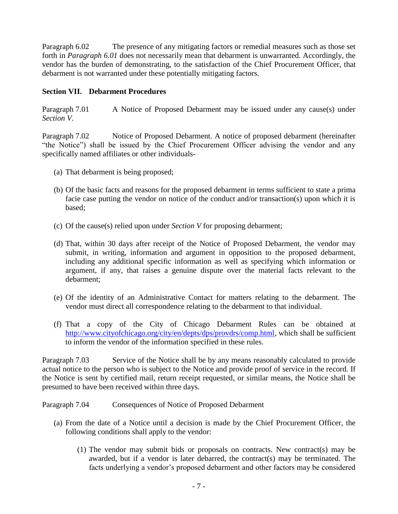Paragraph 6.02 The presence of any mitigating factors or remedial measures such as those set forth in *Paragraph 6.01* does not necessarily mean that debarment is unwarranted. Accordingly, the vendor has the burden of demonstrating, to the satisfaction of the Chief Procurement Officer, that debarment is not warranted under these potentially mitigating factors.

# **Section VII. Debarment Procedures**

Paragraph 7.01 A Notice of Proposed Debarment may be issued under any cause(s) under *Section V*.

Paragraph 7.02 Notice of Proposed Debarment. A notice of proposed debarment (hereinafter "the Notice") shall be issued by the Chief Procurement Officer advising the vendor and any specifically named affiliates or other individuals-

- (a) That debarment is being proposed;
- (b) Of the basic facts and reasons for the proposed debarment in terms sufficient to state a prima facie case putting the vendor on notice of the conduct and/or transaction(s) upon which it is based;
- (c) Of the cause(s) relied upon under *Section V* for proposing debarment;
- (d) That, within 30 days after receipt of the Notice of Proposed Debarment, the vendor may submit, in writing, information and argument in opposition to the proposed debarment, including any additional specific information as well as specifying which information or argument, if any, that raises a genuine dispute over the material facts relevant to the debarment;
- (e) Of the identity of an Administrative Contact for matters relating to the debarment. The vendor must direct all correspondence relating to the debarment to that individual.
- (f) That a copy of the City of Chicago Debarment Rules can be obtained at [http://www.cityofchicago.org/city/en/depts/dps/provdrs/comp.html,](http://www.cityofchicago.org/city/en/depts/dps/provdrs/comp.html) which shall be sufficient to inform the vendor of the information specified in these rules.

Paragraph 7.03 Service of the Notice shall be by any means reasonably calculated to provide actual notice to the person who is subject to the Notice and provide proof of service in the record. If the Notice is sent by certified mail, return receipt requested, or similar means, the Notice shall be presumed to have been received within three days.

Paragraph 7.04 Consequences of Notice of Proposed Debarment

- (a) From the date of a Notice until a decision is made by the Chief Procurement Officer, the following conditions shall apply to the vendor:
	- (1) The vendor may submit bids or proposals on contracts. New contract(s) may be awarded, but if a vendor is later debarred, the contract(s) may be terminated. The facts underlying a vendor's proposed debarment and other factors may be considered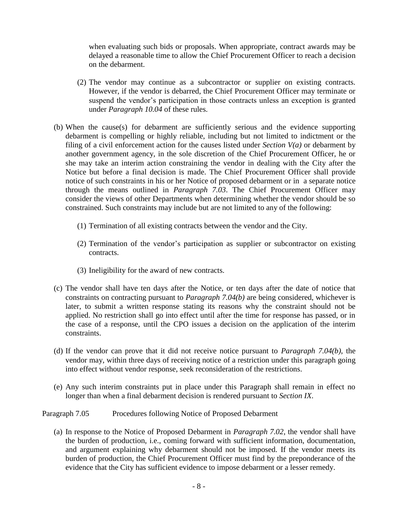when evaluating such bids or proposals. When appropriate, contract awards may be delayed a reasonable time to allow the Chief Procurement Officer to reach a decision on the debarment.

- (2) The vendor may continue as a subcontractor or supplier on existing contracts. However, if the vendor is debarred, the Chief Procurement Officer may terminate or suspend the vendor's participation in those contracts unless an exception is granted under *Paragraph 10.04* of these rules.
- (b) When the cause(s) for debarment are sufficiently serious and the evidence supporting debarment is compelling or highly reliable, including but not limited to indictment or the filing of a civil enforcement action for the causes listed under *Section V(a)* or debarment by another government agency, in the sole discretion of the Chief Procurement Officer, he or she may take an interim action constraining the vendor in dealing with the City after the Notice but before a final decision is made. The Chief Procurement Officer shall provide notice of such constraints in his or her Notice of proposed debarment or in a separate notice through the means outlined in *Paragraph 7.03*. The Chief Procurement Officer may consider the views of other Departments when determining whether the vendor should be so constrained. Such constraints may include but are not limited to any of the following:
	- (1) Termination of all existing contracts between the vendor and the City.
	- (2) Termination of the vendor's participation as supplier or subcontractor on existing contracts.
	- (3) Ineligibility for the award of new contracts.
- (c) The vendor shall have ten days after the Notice, or ten days after the date of notice that constraints on contracting pursuant to *Paragraph 7.04(b)* are being considered, whichever is later, to submit a written response stating its reasons why the constraint should not be applied. No restriction shall go into effect until after the time for response has passed, or in the case of a response, until the CPO issues a decision on the application of the interim constraints.
- (d) If the vendor can prove that it did not receive notice pursuant to *Paragraph 7.04(b)*, the vendor may, within three days of receiving notice of a restriction under this paragraph going into effect without vendor response, seek reconsideration of the restrictions.
- (e) Any such interim constraints put in place under this Paragraph shall remain in effect no longer than when a final debarment decision is rendered pursuant to *Section IX*.

#### Paragraph 7.05 Procedures following Notice of Proposed Debarment

(a) In response to the Notice of Proposed Debarment in *Paragraph 7.02*, the vendor shall have the burden of production, i.e., coming forward with sufficient information, documentation, and argument explaining why debarment should not be imposed. If the vendor meets its burden of production, the Chief Procurement Officer must find by the preponderance of the evidence that the City has sufficient evidence to impose debarment or a lesser remedy.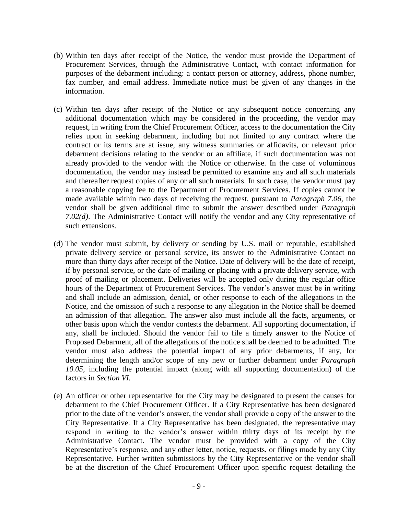- (b) Within ten days after receipt of the Notice, the vendor must provide the Department of Procurement Services, through the Administrative Contact, with contact information for purposes of the debarment including: a contact person or attorney, address, phone number, fax number, and email address. Immediate notice must be given of any changes in the information.
- (c) Within ten days after receipt of the Notice or any subsequent notice concerning any additional documentation which may be considered in the proceeding, the vendor may request, in writing from the Chief Procurement Officer, access to the documentation the City relies upon in seeking debarment, including but not limited to any contract where the contract or its terms are at issue, any witness summaries or affidavits, or relevant prior debarment decisions relating to the vendor or an affiliate, if such documentation was not already provided to the vendor with the Notice or otherwise. In the case of voluminous documentation, the vendor may instead be permitted to examine any and all such materials and thereafter request copies of any or all such materials. In such case, the vendor must pay a reasonable copying fee to the Department of Procurement Services. If copies cannot be made available within two days of receiving the request, pursuant to *Paragraph 7.06,* the vendor shall be given additional time to submit the answer described under *Paragraph 7.02(d)*. The Administrative Contact will notify the vendor and any City representative of such extensions.
- (d) The vendor must submit, by delivery or sending by U.S. mail or reputable, established private delivery service or personal service, its answer to the Administrative Contact no more than thirty days after receipt of the Notice. Date of delivery will be the date of receipt, if by personal service, or the date of mailing or placing with a private delivery service, with proof of mailing or placement. Deliveries will be accepted only during the regular office hours of the Department of Procurement Services. The vendor's answer must be in writing and shall include an admission, denial, or other response to each of the allegations in the Notice, and the omission of such a response to any allegation in the Notice shall be deemed an admission of that allegation. The answer also must include all the facts, arguments, or other basis upon which the vendor contests the debarment. All supporting documentation, if any, shall be included. Should the vendor fail to file a timely answer to the Notice of Proposed Debarment, all of the allegations of the notice shall be deemed to be admitted. The vendor must also address the potential impact of any prior debarments, if any, for determining the length and/or scope of any new or further debarment under *Paragraph 10.05*, including the potential impact (along with all supporting documentation) of the factors in *Section VI.*
- (e) An officer or other representative for the City may be designated to present the causes for debarment to the Chief Procurement Officer. If a City Representative has been designated prior to the date of the vendor's answer, the vendor shall provide a copy of the answer to the City Representative. If a City Representative has been designated, the representative may respond in writing to the vendor's answer within thirty days of its receipt by the Administrative Contact. The vendor must be provided with a copy of the City Representative's response, and any other letter, notice, requests, or filings made by any City Representative. Further written submissions by the City Representative or the vendor shall be at the discretion of the Chief Procurement Officer upon specific request detailing the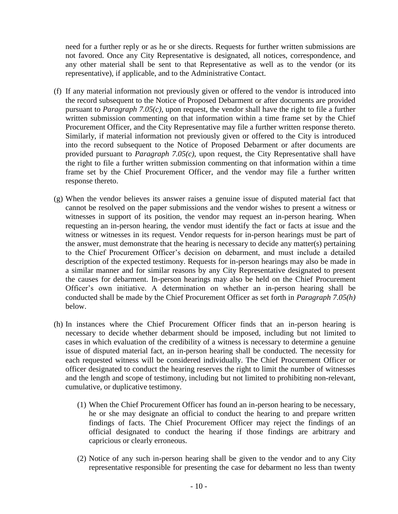need for a further reply or as he or she directs. Requests for further written submissions are not favored. Once any City Representative is designated, all notices, correspondence, and any other material shall be sent to that Representative as well as to the vendor (or its representative), if applicable, and to the Administrative Contact.

- (f) If any material information not previously given or offered to the vendor is introduced into the record subsequent to the Notice of Proposed Debarment or after documents are provided pursuant to *Paragraph 7.05(c)*, upon request, the vendor shall have the right to file a further written submission commenting on that information within a time frame set by the Chief Procurement Officer, and the City Representative may file a further written response thereto. Similarly, if material information not previously given or offered to the City is introduced into the record subsequent to the Notice of Proposed Debarment or after documents are provided pursuant to *Paragraph 7.05(c)*, upon request, the City Representative shall have the right to file a further written submission commenting on that information within a time frame set by the Chief Procurement Officer, and the vendor may file a further written response thereto.
- (g) When the vendor believes its answer raises a genuine issue of disputed material fact that cannot be resolved on the paper submissions and the vendor wishes to present a witness or witnesses in support of its position, the vendor may request an in-person hearing. When requesting an in-person hearing, the vendor must identify the fact or facts at issue and the witness or witnesses in its request. Vendor requests for in-person hearings must be part of the answer, must demonstrate that the hearing is necessary to decide any matter(s) pertaining to the Chief Procurement Officer's decision on debarment, and must include a detailed description of the expected testimony. Requests for in-person hearings may also be made in a similar manner and for similar reasons by any City Representative designated to present the causes for debarment. In-person hearings may also be held on the Chief Procurement Officer's own initiative. A determination on whether an in-person hearing shall be conducted shall be made by the Chief Procurement Officer as set forth in *Paragraph 7.05(h)* below.
- (h) In instances where the Chief Procurement Officer finds that an in-person hearing is necessary to decide whether debarment should be imposed, including but not limited to cases in which evaluation of the credibility of a witness is necessary to determine a genuine issue of disputed material fact, an in-person hearing shall be conducted. The necessity for each requested witness will be considered individually. The Chief Procurement Officer or officer designated to conduct the hearing reserves the right to limit the number of witnesses and the length and scope of testimony, including but not limited to prohibiting non-relevant, cumulative, or duplicative testimony.
	- (1) When the Chief Procurement Officer has found an in-person hearing to be necessary, he or she may designate an official to conduct the hearing to and prepare written findings of facts. The Chief Procurement Officer may reject the findings of an official designated to conduct the hearing if those findings are arbitrary and capricious or clearly erroneous.
	- (2) Notice of any such in-person hearing shall be given to the vendor and to any City representative responsible for presenting the case for debarment no less than twenty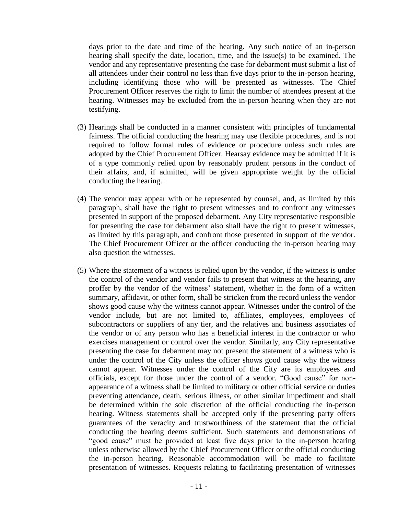days prior to the date and time of the hearing. Any such notice of an in-person hearing shall specify the date, location, time, and the issue(s) to be examined. The vendor and any representative presenting the case for debarment must submit a list of all attendees under their control no less than five days prior to the in-person hearing, including identifying those who will be presented as witnesses. The Chief Procurement Officer reserves the right to limit the number of attendees present at the hearing. Witnesses may be excluded from the in-person hearing when they are not testifying.

- (3) Hearings shall be conducted in a manner consistent with principles of fundamental fairness. The official conducting the hearing may use flexible procedures, and is not required to follow formal rules of evidence or procedure unless such rules are adopted by the Chief Procurement Officer. Hearsay evidence may be admitted if it is of a type commonly relied upon by reasonably prudent persons in the conduct of their affairs, and, if admitted, will be given appropriate weight by the official conducting the hearing.
- (4) The vendor may appear with or be represented by counsel, and, as limited by this paragraph, shall have the right to present witnesses and to confront any witnesses presented in support of the proposed debarment. Any City representative responsible for presenting the case for debarment also shall have the right to present witnesses, as limited by this paragraph, and confront those presented in support of the vendor. The Chief Procurement Officer or the officer conducting the in-person hearing may also question the witnesses.
- (5) Where the statement of a witness is relied upon by the vendor, if the witness is under the control of the vendor and vendor fails to present that witness at the hearing, any proffer by the vendor of the witness' statement, whether in the form of a written summary, affidavit, or other form, shall be stricken from the record unless the vendor shows good cause why the witness cannot appear. Witnesses under the control of the vendor include, but are not limited to, affiliates, employees, employees of subcontractors or suppliers of any tier, and the relatives and business associates of the vendor or of any person who has a beneficial interest in the contractor or who exercises management or control over the vendor. Similarly, any City representative presenting the case for debarment may not present the statement of a witness who is under the control of the City unless the officer shows good cause why the witness cannot appear. Witnesses under the control of the City are its employees and officials, except for those under the control of a vendor. "Good cause" for nonappearance of a witness shall be limited to military or other official service or duties preventing attendance, death, serious illness, or other similar impediment and shall be determined within the sole discretion of the official conducting the in-person hearing. Witness statements shall be accepted only if the presenting party offers guarantees of the veracity and trustworthiness of the statement that the official conducting the hearing deems sufficient. Such statements and demonstrations of "good cause" must be provided at least five days prior to the in-person hearing unless otherwise allowed by the Chief Procurement Officer or the official conducting the in-person hearing. Reasonable accommodation will be made to facilitate presentation of witnesses. Requests relating to facilitating presentation of witnesses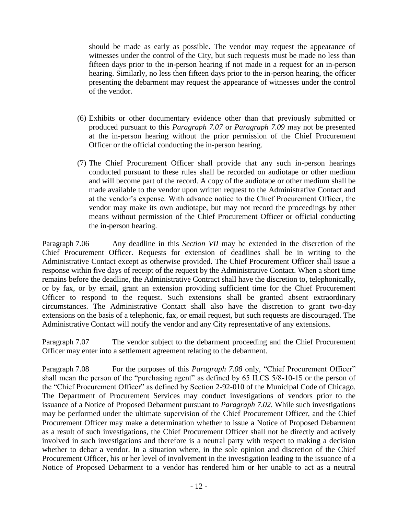should be made as early as possible. The vendor may request the appearance of witnesses under the control of the City, but such requests must be made no less than fifteen days prior to the in-person hearing if not made in a request for an in-person hearing. Similarly, no less then fifteen days prior to the in-person hearing, the officer presenting the debarment may request the appearance of witnesses under the control of the vendor.

- (6) Exhibits or other documentary evidence other than that previously submitted or produced pursuant to this *Paragraph 7.07* or *Paragraph 7.09* may not be presented at the in-person hearing without the prior permission of the Chief Procurement Officer or the official conducting the in-person hearing.
- (7) The Chief Procurement Officer shall provide that any such in-person hearings conducted pursuant to these rules shall be recorded on audiotape or other medium and will become part of the record. A copy of the audiotape or other medium shall be made available to the vendor upon written request to the Administrative Contact and at the vendor's expense. With advance notice to the Chief Procurement Officer, the vendor may make its own audiotape, but may not record the proceedings by other means without permission of the Chief Procurement Officer or official conducting the in-person hearing.

Paragraph 7.06 Any deadline in this *Section VII* may be extended in the discretion of the Chief Procurement Officer. Requests for extension of deadlines shall be in writing to the Administrative Contact except as otherwise provided. The Chief Procurement Officer shall issue a response within five days of receipt of the request by the Administrative Contact. When a short time remains before the deadline, the Administrative Contract shall have the discretion to, telephonically, or by fax, or by email, grant an extension providing sufficient time for the Chief Procurement Officer to respond to the request. Such extensions shall be granted absent extraordinary circumstances. The Administrative Contact shall also have the discretion to grant two-day extensions on the basis of a telephonic, fax, or email request, but such requests are discouraged. The Administrative Contact will notify the vendor and any City representative of any extensions.

Paragraph 7.07 The vendor subject to the debarment proceeding and the Chief Procurement Officer may enter into a settlement agreement relating to the debarment.

Paragraph 7.08 For the purposes of this *Paragraph 7.08* only, "Chief Procurement Officer" shall mean the person of the "purchasing agent" as defined by 65 ILCS 5/8-10-15 or the person of the "Chief Procurement Officer" as defined by Section 2-92-010 of the Municipal Code of Chicago. The Department of Procurement Services may conduct investigations of vendors prior to the issuance of a Notice of Proposed Debarment pursuant to *Paragraph 7.02*. While such investigations may be performed under the ultimate supervision of the Chief Procurement Officer, and the Chief Procurement Officer may make a determination whether to issue a Notice of Proposed Debarment as a result of such investigations, the Chief Procurement Officer shall not be directly and actively involved in such investigations and therefore is a neutral party with respect to making a decision whether to debar a vendor. In a situation where, in the sole opinion and discretion of the Chief Procurement Officer, his or her level of involvement in the investigation leading to the issuance of a Notice of Proposed Debarment to a vendor has rendered him or her unable to act as a neutral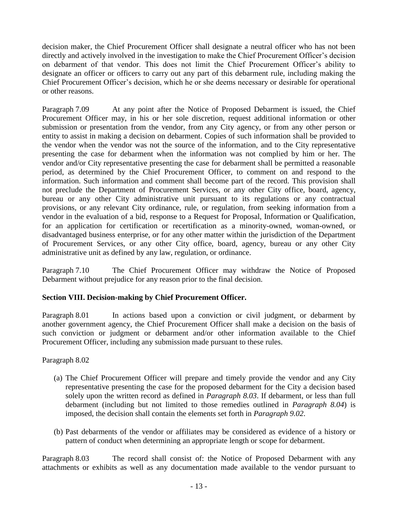decision maker, the Chief Procurement Officer shall designate a neutral officer who has not been directly and actively involved in the investigation to make the Chief Procurement Officer's decision on debarment of that vendor. This does not limit the Chief Procurement Officer's ability to designate an officer or officers to carry out any part of this debarment rule, including making the Chief Procurement Officer's decision, which he or she deems necessary or desirable for operational or other reasons.

Paragraph 7.09 At any point after the Notice of Proposed Debarment is issued, the Chief Procurement Officer may, in his or her sole discretion, request additional information or other submission or presentation from the vendor, from any City agency, or from any other person or entity to assist in making a decision on debarment. Copies of such information shall be provided to the vendor when the vendor was not the source of the information, and to the City representative presenting the case for debarment when the information was not complied by him or her. The vendor and/or City representative presenting the case for debarment shall be permitted a reasonable period, as determined by the Chief Procurement Officer, to comment on and respond to the information. Such information and comment shall become part of the record. This provision shall not preclude the Department of Procurement Services, or any other City office, board, agency, bureau or any other City administrative unit pursuant to its regulations or any contractual provisions, or any relevant City ordinance, rule, or regulation, from seeking information from a vendor in the evaluation of a bid, response to a Request for Proposal, Information or Qualification, for an application for certification or recertification as a minority-owned, woman-owned, or disadvantaged business enterprise, or for any other matter within the jurisdiction of the Department of Procurement Services, or any other City office, board, agency, bureau or any other City administrative unit as defined by any law, regulation, or ordinance.

Paragraph 7.10 The Chief Procurement Officer may withdraw the Notice of Proposed Debarment without prejudice for any reason prior to the final decision.

# **Section VIII. Decision-making by Chief Procurement Officer.**

Paragraph 8.01 In actions based upon a conviction or civil judgment, or debarment by another government agency, the Chief Procurement Officer shall make a decision on the basis of such conviction or judgment or debarment and/or other information available to the Chief Procurement Officer, including any submission made pursuant to these rules.

# Paragraph 8.02

- (a) The Chief Procurement Officer will prepare and timely provide the vendor and any City representative presenting the case for the proposed debarment for the City a decision based solely upon the written record as defined in *Paragraph 8.03*. If debarment, or less than full debarment (including but not limited to those remedies outlined in *Paragraph 8.04*) is imposed, the decision shall contain the elements set forth in *Paragraph 9.02*.
- (b) Past debarments of the vendor or affiliates may be considered as evidence of a history or pattern of conduct when determining an appropriate length or scope for debarment.

Paragraph 8.03 The record shall consist of: the Notice of Proposed Debarment with any attachments or exhibits as well as any documentation made available to the vendor pursuant to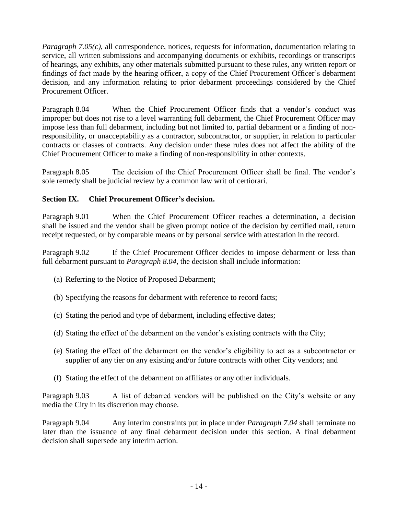*Paragraph 7.05(c)*, all correspondence, notices, requests for information, documentation relating to service, all written submissions and accompanying documents or exhibits, recordings or transcripts of hearings, any exhibits, any other materials submitted pursuant to these rules, any written report or findings of fact made by the hearing officer, a copy of the Chief Procurement Officer's debarment decision, and any information relating to prior debarment proceedings considered by the Chief Procurement Officer.

Paragraph 8.04 When the Chief Procurement Officer finds that a vendor's conduct was improper but does not rise to a level warranting full debarment, the Chief Procurement Officer may impose less than full debarment, including but not limited to, partial debarment or a finding of nonresponsibility, or unacceptability as a contractor, subcontractor, or supplier, in relation to particular contracts or classes of contracts. Any decision under these rules does not affect the ability of the Chief Procurement Officer to make a finding of non-responsibility in other contexts.

Paragraph 8.05 The decision of the Chief Procurement Officer shall be final. The vendor's sole remedy shall be judicial review by a common law writ of certiorari.

# **Section IX. Chief Procurement Officer's decision.**

Paragraph 9.01 When the Chief Procurement Officer reaches a determination, a decision shall be issued and the vendor shall be given prompt notice of the decision by certified mail, return receipt requested, or by comparable means or by personal service with attestation in the record.

Paragraph 9.02 If the Chief Procurement Officer decides to impose debarment or less than full debarment pursuant to *Paragraph 8.04*, the decision shall include information:

- (a) Referring to the Notice of Proposed Debarment;
- (b) Specifying the reasons for debarment with reference to record facts;
- (c) Stating the period and type of debarment, including effective dates;
- (d) Stating the effect of the debarment on the vendor's existing contracts with the City;
- (e) Stating the effect of the debarment on the vendor's eligibility to act as a subcontractor or supplier of any tier on any existing and/or future contracts with other City vendors; and
- (f) Stating the effect of the debarment on affiliates or any other individuals.

Paragraph 9.03 A list of debarred vendors will be published on the City's website or any media the City in its discretion may choose.

Paragraph 9.04 Any interim constraints put in place under *Paragraph 7.04* shall terminate no later than the issuance of any final debarment decision under this section. A final debarment decision shall supersede any interim action.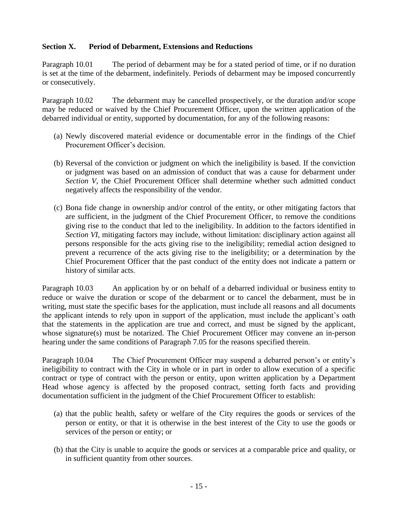# **Section X. Period of Debarment, Extensions and Reductions**

Paragraph 10.01 The period of debarment may be for a stated period of time, or if no duration is set at the time of the debarment, indefinitely. Periods of debarment may be imposed concurrently or consecutively.

Paragraph 10.02 The debarment may be cancelled prospectively, or the duration and/or scope may be reduced or waived by the Chief Procurement Officer, upon the written application of the debarred individual or entity, supported by documentation, for any of the following reasons:

- (a) Newly discovered material evidence or documentable error in the findings of the Chief Procurement Officer's decision.
- (b) Reversal of the conviction or judgment on which the ineligibility is based. If the conviction or judgment was based on an admission of conduct that was a cause for debarment under *Section V*, the Chief Procurement Officer shall determine whether such admitted conduct negatively affects the responsibility of the vendor.
- (c) Bona fide change in ownership and/or control of the entity, or other mitigating factors that are sufficient, in the judgment of the Chief Procurement Officer, to remove the conditions giving rise to the conduct that led to the ineligibility. In addition to the factors identified in *Section VI*, mitigating factors may include, without limitation: disciplinary action against all persons responsible for the acts giving rise to the ineligibility; remedial action designed to prevent a recurrence of the acts giving rise to the ineligibility; or a determination by the Chief Procurement Officer that the past conduct of the entity does not indicate a pattern or history of similar acts.

Paragraph 10.03 An application by or on behalf of a debarred individual or business entity to reduce or waive the duration or scope of the debarment or to cancel the debarment, must be in writing, must state the specific bases for the application, must include all reasons and all documents the applicant intends to rely upon in support of the application, must include the applicant's oath that the statements in the application are true and correct, and must be signed by the applicant, whose signature(s) must be notarized. The Chief Procurement Officer may convene an in-person hearing under the same conditions of Paragraph 7.05 for the reasons specified therein.

Paragraph 10.04 The Chief Procurement Officer may suspend a debarred person's or entity's ineligibility to contract with the City in whole or in part in order to allow execution of a specific contract or type of contract with the person or entity, upon written application by a Department Head whose agency is affected by the proposed contract, setting forth facts and providing documentation sufficient in the judgment of the Chief Procurement Officer to establish:

- (a) that the public health, safety or welfare of the City requires the goods or services of the person or entity, or that it is otherwise in the best interest of the City to use the goods or services of the person or entity; or
- (b) that the City is unable to acquire the goods or services at a comparable price and quality, or in sufficient quantity from other sources.